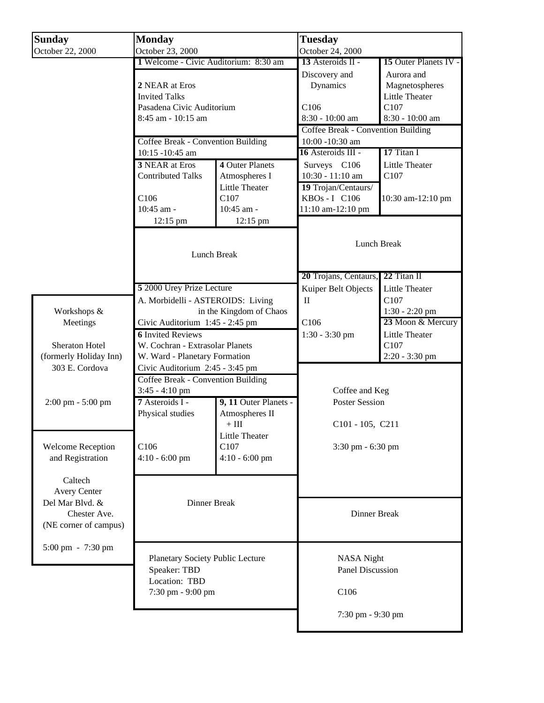| <b>Sunday</b>            | <b>Monday</b>                                                                                                                           |                                         | <b>Tuesday</b>                            |                       |  |
|--------------------------|-----------------------------------------------------------------------------------------------------------------------------------------|-----------------------------------------|-------------------------------------------|-----------------------|--|
| October 22, 2000         | October 23, 2000                                                                                                                        |                                         | October 24, 2000                          |                       |  |
|                          | 1 Welcome - Civic Auditorium: 8:30 am                                                                                                   |                                         | 13 Asteroids $II -$                       | 15 Outer Planets IV - |  |
|                          |                                                                                                                                         |                                         | Discovery and                             | Aurora and            |  |
|                          | 2 NEAR at Eros                                                                                                                          |                                         | Dynamics                                  | Magnetospheres        |  |
|                          | <b>Invited Talks</b><br>Pasadena Civic Auditorium<br>8:45 am - 10:15 am<br><b>Coffee Break - Convention Building</b><br>10:15 -10:45 am |                                         |                                           | Little Theater        |  |
|                          |                                                                                                                                         |                                         | C <sub>106</sub>                          | C107                  |  |
|                          |                                                                                                                                         |                                         | 8:30 - 10:00 am                           | 8:30 - 10:00 am       |  |
|                          |                                                                                                                                         |                                         | <b>Coffee Break - Convention Building</b> |                       |  |
|                          |                                                                                                                                         |                                         | 10:00 -10:30 am                           |                       |  |
|                          |                                                                                                                                         |                                         | 16 Asteroids III -                        | 17 Titan I            |  |
|                          | <b>3 NEAR at Eros</b>                                                                                                                   | 4 Outer Planets                         | Surveys C106                              | <b>Little Theater</b> |  |
|                          | <b>Contributed Talks</b>                                                                                                                | Atmospheres I                           | 10:30 - 11:10 am                          | C107                  |  |
|                          |                                                                                                                                         | <b>Little Theater</b>                   | 19 Trojan/Centaurs/                       |                       |  |
|                          | C <sub>106</sub>                                                                                                                        | C <sub>107</sub>                        | KBOs - I C106                             | 10:30 am-12:10 pm     |  |
|                          | 10:45 am -                                                                                                                              | 10:45 am -                              | 11:10 am-12:10 pm                         |                       |  |
|                          | 12:15 pm                                                                                                                                |                                         |                                           |                       |  |
|                          |                                                                                                                                         | 12:15 pm                                |                                           |                       |  |
|                          | Lunch Break                                                                                                                             |                                         | Lunch Break                               |                       |  |
|                          |                                                                                                                                         |                                         |                                           |                       |  |
|                          |                                                                                                                                         |                                         |                                           |                       |  |
|                          |                                                                                                                                         |                                         | 22 Titan II                               |                       |  |
|                          |                                                                                                                                         |                                         | 20 Trojans, Centaurs,                     |                       |  |
|                          | 5 2000 Urey Prize Lecture                                                                                                               |                                         | Kuiper Belt Objects                       | <b>Little Theater</b> |  |
|                          | A. Morbidelli - ASTEROIDS: Living                                                                                                       |                                         | $\mathbf{I}$                              | C <sub>107</sub>      |  |
| Workshops &              | in the Kingdom of Chaos                                                                                                                 |                                         |                                           | 1:30 - 2:20 pm        |  |
| Meetings                 | Civic Auditorium 1:45 - 2:45 pm                                                                                                         |                                         | C106<br>1:30 - 3:30 pm                    | 23 Moon & Mercury     |  |
|                          |                                                                                                                                         | <b>6 Invited Reviews</b>                |                                           | Little Theater        |  |
| Sheraton Hotel           | W. Cochran - Extrasolar Planets                                                                                                         |                                         |                                           | C107                  |  |
| (formerly Holiday Inn)   | W. Ward - Planetary Formation<br>Civic Auditorium 2:45 - 3:45 pm                                                                        |                                         |                                           | 2:20 - 3:30 pm        |  |
| 303 E. Cordova           |                                                                                                                                         |                                         |                                           |                       |  |
|                          | Coffee Break - Convention Building                                                                                                      |                                         |                                           |                       |  |
|                          | 3:45 - 4:10 pm                                                                                                                          |                                         | Coffee and Keg                            |                       |  |
| 2:00 pm - 5:00 pm        | 7 Asteroids I -                                                                                                                         | 9, 11 Outer Planets -                   | <b>Poster Session</b>                     |                       |  |
|                          | Physical studies                                                                                                                        | Atmospheres II                          |                                           |                       |  |
|                          |                                                                                                                                         | $+$ III $\,$                            | C101 - 105, C211                          |                       |  |
|                          |                                                                                                                                         | <b>Little Theater</b>                   |                                           |                       |  |
| <b>Welcome Reception</b> | C106                                                                                                                                    | C107                                    | 3:30 pm - 6:30 pm                         |                       |  |
| and Registration         | $4:10 - 6:00$ pm                                                                                                                        | $4:10 - 6:00$ pm                        |                                           |                       |  |
|                          |                                                                                                                                         |                                         |                                           |                       |  |
| Caltech                  |                                                                                                                                         |                                         |                                           |                       |  |
| <b>Avery Center</b>      |                                                                                                                                         |                                         |                                           |                       |  |
| Del Mar Blvd. &          | Dinner Break                                                                                                                            |                                         |                                           |                       |  |
| Chester Ave.             |                                                                                                                                         |                                         | Dinner Break                              |                       |  |
| (NE corner of campus)    |                                                                                                                                         |                                         |                                           |                       |  |
|                          |                                                                                                                                         |                                         |                                           |                       |  |
| 5:00 pm - 7:30 pm        |                                                                                                                                         |                                         |                                           |                       |  |
|                          |                                                                                                                                         | <b>Planetary Society Public Lecture</b> |                                           | <b>NASA</b> Night     |  |
|                          | Speaker: TBD                                                                                                                            |                                         | <b>Panel Discussion</b>                   |                       |  |
|                          | Location: TBD<br>7:30 pm - 9:00 pm                                                                                                      |                                         |                                           |                       |  |
|                          |                                                                                                                                         |                                         | C106                                      |                       |  |
|                          |                                                                                                                                         |                                         |                                           |                       |  |
|                          |                                                                                                                                         |                                         | 7:30 pm - 9:30 pm                         |                       |  |
|                          |                                                                                                                                         |                                         |                                           |                       |  |